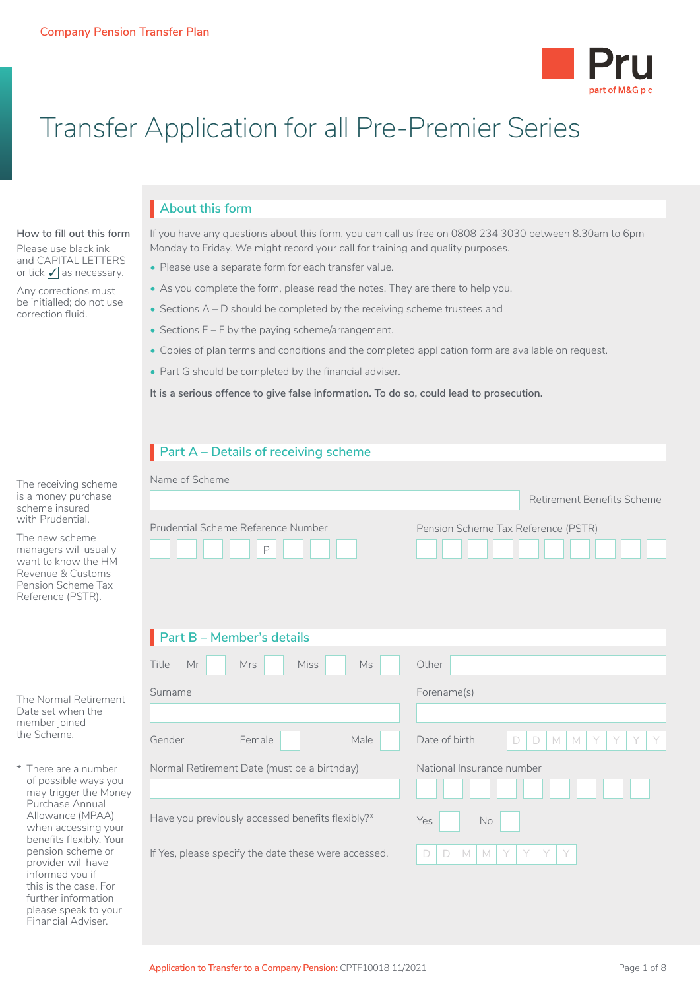

# Transfer Application for all Pre-Premier Series

# **About this form** I

If you have any questions about this form, you can call us free on 0808 234 3030 between 8.30am to 6pm Monday to Friday. We might record your call for training and quality purposes.

- Please use a separate form for each transfer value.
- As you complete the form, please read the notes. They are there to help you.
- Sections A D should be completed by the receiving scheme trustees and
- Sections E F by the paying scheme/arrangement.
- Copies of plan terms and conditions and the completed application form are available on request.
- Part G should be completed by the financial adviser.

**It is a serious offence to give false information. To do so, could lead to prosecution.**

|                                                                                                                                                                                                                                                       | Part A - Details of receiving scheme                      |                                                                                |
|-------------------------------------------------------------------------------------------------------------------------------------------------------------------------------------------------------------------------------------------------------|-----------------------------------------------------------|--------------------------------------------------------------------------------|
| The receiving scheme<br>is a money purchase<br>scheme insured<br>with Prudential.<br>The new scheme<br>managers will usually<br>want to know the HM<br>Revenue & Customs<br>Pension Scheme Tax<br>Reference (PSTR).                                   | Name of Scheme<br>Prudential Scheme Reference Number<br>P | Retirement Benefits Scheme<br>Pension Scheme Tax Reference (PSTR)              |
|                                                                                                                                                                                                                                                       | $\blacksquare$ Part B – Member's details                  |                                                                                |
|                                                                                                                                                                                                                                                       | Miss<br>Title<br>Mr<br><b>Mrs</b><br>Ms                   | Other                                                                          |
| The Normal Retirement<br>Date set when the<br>member joined<br>the Scheme.                                                                                                                                                                            | Surname                                                   | Forename(s)                                                                    |
|                                                                                                                                                                                                                                                       | Gender<br>Female<br>Male                                  | Date of birth<br>$\Box$<br>$\Box$<br>$\mathbb M$<br>Y<br>Y<br>$M_{\odot}$<br>Y |
| * There are a number<br>of possible ways you<br>may trigger the Money<br>Purchase Annual<br>Allowance (MPAA)<br>when accessing your<br>benefits flexibly. Your<br>pension scheme or<br>provider will have<br>informed you if<br>this is the case. For | Normal Retirement Date (must be a birthday)               | National Insurance number                                                      |
|                                                                                                                                                                                                                                                       | Have you previously accessed benefits flexibly?*          | Yes<br>No                                                                      |
|                                                                                                                                                                                                                                                       | If Yes, please specify the date these were accessed.      | Y<br>$\Box$<br>$\Box$<br>M<br>M<br>Y                                           |

**How to fill out this form** Please use black ink and CAPITAL LETTERS or tick  $\sqrt{\ }$  as necessary. Any corrections must be initialled; do not use correction fluid.

further information please speak to your Financial Adviser.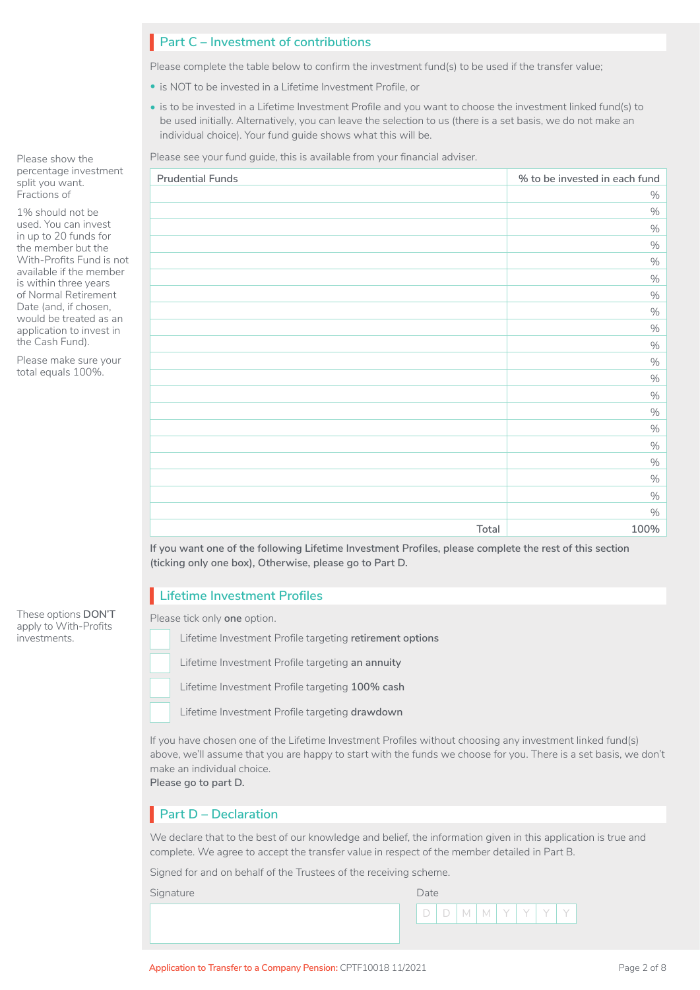# **Part C – Investment of contributions** I

Please complete the table below to confirm the investment fund(s) to be used if the transfer value;

- is NOT to be invested in a Lifetime Investment Profile, or
- is to be invested in a Lifetime Investment Profile and you want to choose the investment linked fund(s) to be used initially. Alternatively, you can leave the selection to us (there is a set basis, we do not make an individual choice). Your fund guide shows what this will be.

Please see your fund guide, this is available from your financial adviser.

| <b>Prudential Funds</b> | % to be invested in each fund |
|-------------------------|-------------------------------|
|                         | $\%$                          |
|                         | $\%$                          |
|                         | $\%$                          |
|                         | $\%$                          |
|                         | $\%$                          |
|                         | $\%$                          |
|                         | $\%$                          |
|                         | $\%$                          |
|                         | $\%$                          |
|                         | $\%$                          |
|                         | $\%$                          |
|                         | $\%$                          |
|                         | $\%$                          |
|                         | $\%$                          |
|                         | $\%$                          |
|                         | $\%$                          |
|                         | $\%$                          |
|                         | $\%$                          |
|                         | $\%$                          |
|                         | $\%$                          |
| Total                   | 100%                          |

**If you want one of the following Lifetime Investment Profiles, please complete the rest of this section (ticking only one box), Otherwise, please go to Part D.** 

# **Lifetime Investment Profiles** I

Please tick only **one** option.

Lifetime Investment Profile targeting **retirement options** □

Lifetime Investment Profile targeting **an annuity** □

Lifetime Investment Profile targeting **100% cash**  $\Box$ 

Lifetime Investment Profile targeting **drawdown** n

If you have chosen one of the Lifetime Investment Profiles without choosing any investment linked fund(s) above, we'll assume that you are happy to start with the funds we choose for you. There is a set basis, we don't make an individual choice. **Please go to part D.**

# **Part D – Declaration** I

We declare that to the best of our knowledge and belief, the information given in this application is true and complete. We agree to accept the transfer value in respect of the member detailed in Part B.

Signed for and on behalf of the Trustees of the receiving scheme.

Signature Date Date Communication of the Date Date



Please show the percentage investment split you want. Fractions of

1% should not be used. You can invest in up to 20 funds for the member but the With-Profits Fund is not available if the member is within three years of Normal Retirement Date (and, if chosen, would be treated as an application to invest in the Cash Fund).

Please make sure your total equals 100%.

#### These options **DON'T** apply to With-Profits investments.

Application to Transfer to a Company Pension: CPTF10018 11/2021 **Page 2 of 8** Page 2 of 8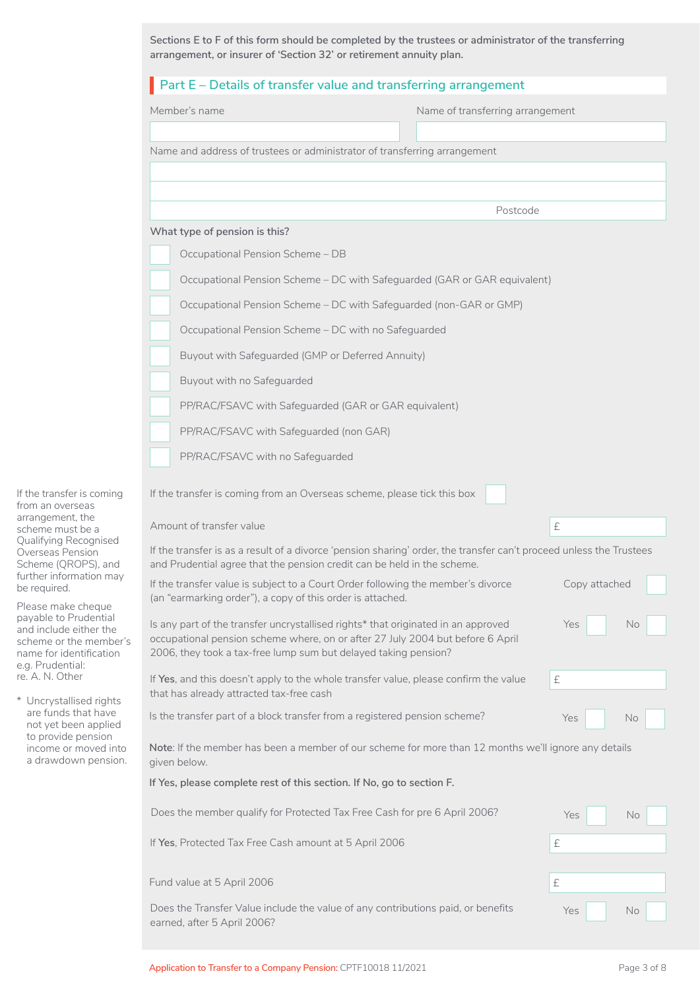|                                                                                                                                                                        | Sections E to F of this form should be completed by the trustees or administrator of the transferring<br>arrangement, or insurer of 'Section 32' or retirement annuity plan.                                                                        |                                  |            |  |  |  |
|------------------------------------------------------------------------------------------------------------------------------------------------------------------------|-----------------------------------------------------------------------------------------------------------------------------------------------------------------------------------------------------------------------------------------------------|----------------------------------|------------|--|--|--|
|                                                                                                                                                                        | Part E - Details of transfer value and transferring arrangement                                                                                                                                                                                     |                                  |            |  |  |  |
|                                                                                                                                                                        | Member's name                                                                                                                                                                                                                                       | Name of transferring arrangement |            |  |  |  |
|                                                                                                                                                                        | Name and address of trustees or administrator of transferring arrangement                                                                                                                                                                           |                                  |            |  |  |  |
|                                                                                                                                                                        |                                                                                                                                                                                                                                                     |                                  |            |  |  |  |
|                                                                                                                                                                        |                                                                                                                                                                                                                                                     | Postcode                         |            |  |  |  |
|                                                                                                                                                                        | What type of pension is this?                                                                                                                                                                                                                       |                                  |            |  |  |  |
|                                                                                                                                                                        | Occupational Pension Scheme - DB                                                                                                                                                                                                                    |                                  |            |  |  |  |
|                                                                                                                                                                        | Occupational Pension Scheme - DC with Safeguarded (GAR or GAR equivalent)                                                                                                                                                                           |                                  |            |  |  |  |
|                                                                                                                                                                        | Occupational Pension Scheme - DC with Safeguarded (non-GAR or GMP)                                                                                                                                                                                  |                                  |            |  |  |  |
|                                                                                                                                                                        | Occupational Pension Scheme - DC with no Safeguarded                                                                                                                                                                                                |                                  |            |  |  |  |
|                                                                                                                                                                        | Buyout with Safeguarded (GMP or Deferred Annuity)                                                                                                                                                                                                   |                                  |            |  |  |  |
|                                                                                                                                                                        | Buyout with no Safeguarded                                                                                                                                                                                                                          |                                  |            |  |  |  |
|                                                                                                                                                                        | PP/RAC/FSAVC with Safeguarded (GAR or GAR equivalent)                                                                                                                                                                                               |                                  |            |  |  |  |
|                                                                                                                                                                        | PP/RAC/FSAVC with Safeguarded (non GAR)                                                                                                                                                                                                             |                                  |            |  |  |  |
|                                                                                                                                                                        | PP/RAC/FSAVC with no Safeguarded                                                                                                                                                                                                                    |                                  |            |  |  |  |
|                                                                                                                                                                        |                                                                                                                                                                                                                                                     |                                  |            |  |  |  |
| If the transfer is coming<br>from an overseas                                                                                                                          | If the transfer is coming from an Overseas scheme, please tick this box                                                                                                                                                                             |                                  |            |  |  |  |
| arrangement, the<br>scheme must be a                                                                                                                                   | Amount of transfer value                                                                                                                                                                                                                            |                                  | £          |  |  |  |
| Qualifying Recognised<br>Overseas Pension<br>Scheme (QROPS), and                                                                                                       | If the transfer is as a result of a divorce 'pension sharing' order, the transfer can't proceed unless the Trustees<br>and Prudential agree that the pension credit can be held in the scheme.                                                      |                                  |            |  |  |  |
| further information may<br>be required.<br>Please make cheque                                                                                                          | If the transfer value is subject to a Court Order following the member's divorce<br>(an "earmarking order"), a copy of this order is attached.                                                                                                      | Copy attached                    |            |  |  |  |
| payable to Prudential<br>and include either the<br>scheme or the member's<br>name for identification<br>e.g. Prudential:<br>re. A. N. Other<br>* Uncrystallised rights | Is any part of the transfer uncrystallised rights* that originated in an approved<br>Yes<br>No<br>occupational pension scheme where, on or after 27 July 2004 but before 6 April<br>2006, they took a tax-free lump sum but delayed taking pension? |                                  |            |  |  |  |
|                                                                                                                                                                        | If Yes, and this doesn't apply to the whole transfer value, please confirm the value<br>$\pounds$<br>that has already attracted tax-free cash                                                                                                       |                                  |            |  |  |  |
| are funds that have<br>not yet been applied                                                                                                                            | Is the transfer part of a block transfer from a registered pension scheme?                                                                                                                                                                          |                                  | Yes<br>No  |  |  |  |
| to provide pension<br>income or moved into<br>a drawdown pension.                                                                                                      | Note: If the member has been a member of our scheme for more than 12 months we'll ignore any details<br>given below.                                                                                                                                |                                  |            |  |  |  |
|                                                                                                                                                                        | If Yes, please complete rest of this section. If No, go to section F.                                                                                                                                                                               |                                  |            |  |  |  |
|                                                                                                                                                                        | Does the member qualify for Protected Tax Free Cash for pre 6 April 2006?                                                                                                                                                                           |                                  | Yes<br>No  |  |  |  |
|                                                                                                                                                                        | If Yes, Protected Tax Free Cash amount at 5 April 2006                                                                                                                                                                                              |                                  | £          |  |  |  |
|                                                                                                                                                                        | Fund value at 5 April 2006                                                                                                                                                                                                                          |                                  | $\pounds$  |  |  |  |
|                                                                                                                                                                        | Does the Transfer Value include the value of any contributions paid, or benefits<br>earned, after 5 April 2006?                                                                                                                                     |                                  | Yes<br>No. |  |  |  |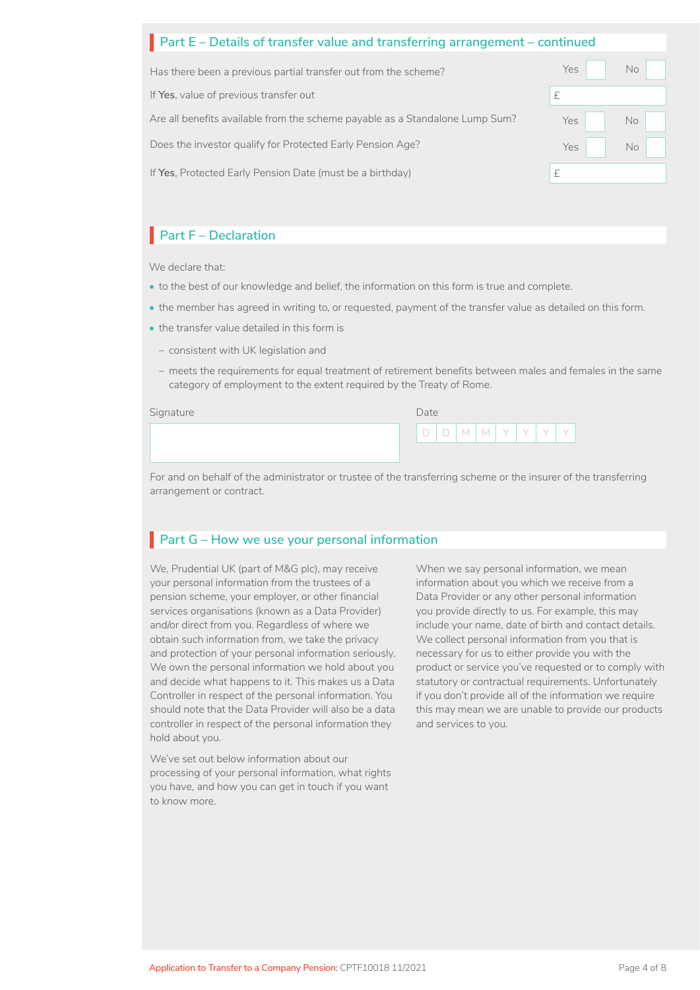# **Part E** – Details of transfer value and transferring arrangement – continued

| Has there been a previous partial transfer out from the scheme?              | Yes<br>No l |
|------------------------------------------------------------------------------|-------------|
| If Yes, value of previous transfer out                                       |             |
| Are all benefits available from the scheme payable as a Standalone Lump Sum? | Yes I<br>No |
| Does the investor qualify for Protected Early Pension Age?                   | Yes l<br>No |
| If Yes, Protected Early Pension Date (must be a birthday)                    |             |

# **Part F – Declaration**

We declare that:

- to the best of our knowledge and belief, the information on this form is true and complete.
- the member has agreed in writing to, or requested, payment of the transfer value as detailed on this form.
- the transfer value detailed in this form is
	- consistent with UK legislation and
	- meets the requirements for equal treatment of retirement benefits between males and females in the same category of employment to the extent required by the Treaty of Rome.

Signature

| Date |   |   |  |  |
|------|---|---|--|--|
|      | V | M |  |  |

For and on behalf of the administrator or trustee of the transferring scheme or the insurer of the transferring arrangement or contract.

# **Part G – How we use your personal information**

We, Prudential UK (part of M&G plc), may receive your personal information from the trustees of a pension scheme, your employer, or other financial services organisations (known as a Data Provider) and/or direct from you. Regardless of where we obtain such information from, we take the privacy and protection of your personal information seriously. We own the personal information we hold about you and decide what happens to it. This makes us a Data Controller in respect of the personal information. You should note that the Data Provider will also be a data controller in respect of the personal information they hold about you.

We've set out below information about our processing of your personal information, what rights you have, and how you can get in touch if you want to know more.

When we say personal information, we mean information about you which we receive from a Data Provider or any other personal information you provide directly to us. For example, this may include your name, date of birth and contact details. We collect personal information from you that is necessary for us to either provide you with the product or service you've requested or to comply with statutory or contractual requirements. Unfortunately if you don't provide all of the information we require this may mean we are unable to provide our products and services to you.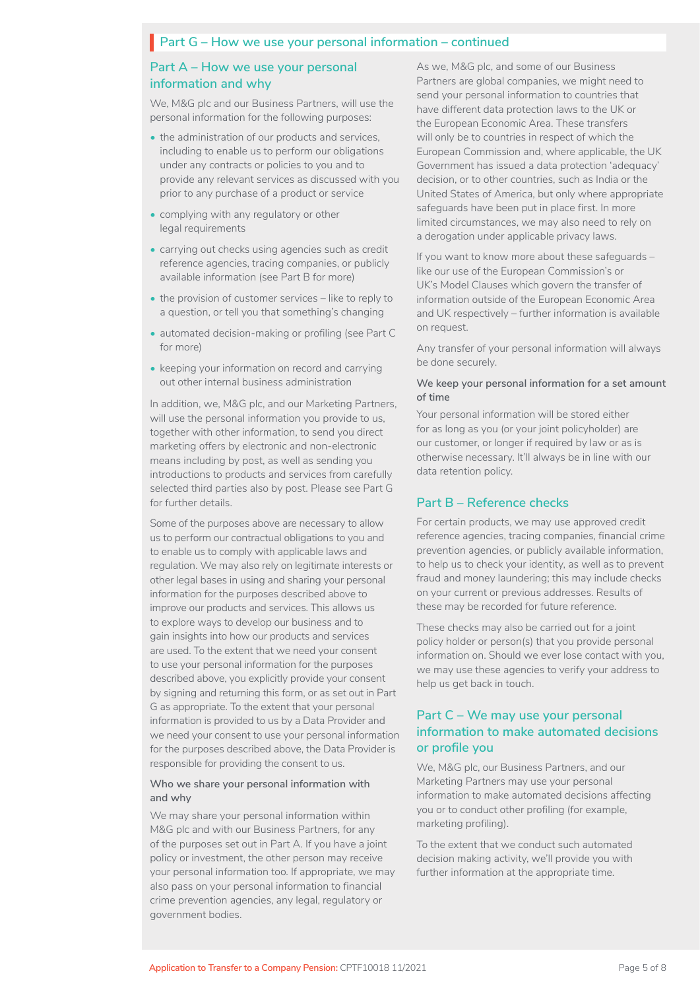# **Part G – How we use your personal information – continued**

### **Part A – How we use your personal information and why**

We, M&G plc and our Business Partners, will use the personal information for the following purposes:

- the administration of our products and services, including to enable us to perform our obligations under any contracts or policies to you and to provide any relevant services as discussed with you prior to any purchase of a product or service
- complying with any regulatory or other legal requirements
- carrying out checks using agencies such as credit reference agencies, tracing companies, or publicly available information (see Part B for more)
- the provision of customer services like to reply to a question, or tell you that something's changing
- automated decision-making or profiling (see Part C for more)
- keeping your information on record and carrying out other internal business administration

In addition, we, M&G plc, and our Marketing Partners, will use the personal information you provide to us, together with other information, to send you direct marketing offers by electronic and non-electronic means including by post, as well as sending you introductions to products and services from carefully selected third parties also by post. Please see Part G for further details.

Some of the purposes above are necessary to allow us to perform our contractual obligations to you and to enable us to comply with applicable laws and regulation. We may also rely on legitimate interests or other legal bases in using and sharing your personal information for the purposes described above to improve our products and services. This allows us to explore ways to develop our business and to gain insights into how our products and services are used. To the extent that we need your consent to use your personal information for the purposes described above, you explicitly provide your consent by signing and returning this form, or as set out in Part G as appropriate. To the extent that your personal information is provided to us by a Data Provider and we need your consent to use your personal information for the purposes described above, the Data Provider is responsible for providing the consent to us.

#### **Who we share your personal information with and why**

We may share your personal information within M&G plc and with our Business Partners, for any of the purposes set out in Part A. If you have a joint policy or investment, the other person may receive your personal information too. If appropriate, we may also pass on your personal information to financial crime prevention agencies, any legal, regulatory or government bodies.

As we, M&G plc, and some of our Business Partners are global companies, we might need to send your personal information to countries that have different data protection laws to the UK or the European Economic Area. These transfers will only be to countries in respect of which the European Commission and, where applicable, the UK Government has issued a data protection 'adequacy' decision, or to other countries, such as India or the United States of America, but only where appropriate safeguards have been put in place first. In more limited circumstances, we may also need to rely on a derogation under applicable privacy laws.

If you want to know more about these safeguards – like our use of the European Commission's or UK's Model Clauses which govern the transfer of information outside of the European Economic Area and UK respectively – further information is available on request.

Any transfer of your personal information will always be done securely.

#### **We keep your personal information for a set amount of time**

Your personal information will be stored either for as long as you (or your joint policyholder) are our customer, or longer if required by law or as is otherwise necessary. It'll always be in line with our data retention policy.

#### **Part B – Reference checks**

For certain products, we may use approved credit reference agencies, tracing companies, financial crime prevention agencies, or publicly available information, to help us to check your identity, as well as to prevent fraud and money laundering; this may include checks on your current or previous addresses. Results of these may be recorded for future reference.

These checks may also be carried out for a joint policy holder or person(s) that you provide personal information on. Should we ever lose contact with you, we may use these agencies to verify your address to help us get back in touch.

### **Part C – We may use your personal information to make automated decisions or profile you**

We, M&G plc, our Business Partners, and our Marketing Partners may use your personal information to make automated decisions affecting you or to conduct other profiling (for example, marketing profiling).

To the extent that we conduct such automated decision making activity, we'll provide you with further information at the appropriate time.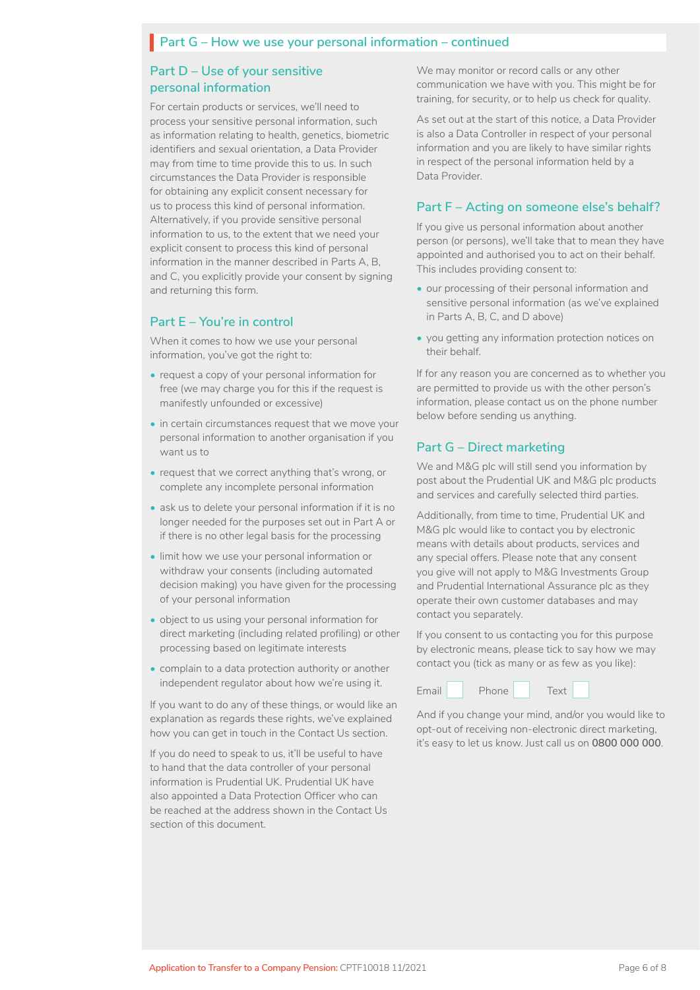# **Part G – How we use your personal information – continued**

### **Part D – Use of your sensitive personal information**

For certain products or services, we'll need to process your sensitive personal information, such as information relating to health, genetics, biometric identifiers and sexual orientation, a Data Provider may from time to time provide this to us. In such circumstances the Data Provider is responsible for obtaining any explicit consent necessary for us to process this kind of personal information. Alternatively, if you provide sensitive personal information to us, to the extent that we need your explicit consent to process this kind of personal information in the manner described in Parts A, B, and C, you explicitly provide your consent by signing and returning this form.

### **Part E – You're in control**

When it comes to how we use your personal information, you've got the right to:

- request a copy of your personal information for free (we may charge you for this if the request is manifestly unfounded or excessive)
- in certain circumstances request that we move your personal information to another organisation if you want us to
- request that we correct anything that's wrong, or complete any incomplete personal information
- ask us to delete your personal information if it is no longer needed for the purposes set out in Part A or if there is no other legal basis for the processing
- limit how we use your personal information or withdraw your consents (including automated decision making) you have given for the processing of your personal information
- object to us using your personal information for direct marketing (including related profiling) or other processing based on legitimate interests
- complain to a data protection authority or another independent regulator about how we're using it.

If you want to do any of these things, or would like an explanation as regards these rights, we've explained how you can get in touch in the Contact Us section.

If you do need to speak to us, it'll be useful to have to hand that the data controller of your personal information is Prudential UK. Prudential UK have also appointed a Data Protection Officer who can be reached at the address shown in the Contact Us section of this document.

We may monitor or record calls or any other communication we have with you. This might be for training, for security, or to help us check for quality.

As set out at the start of this notice, a Data Provider is also a Data Controller in respect of your personal information and you are likely to have similar rights in respect of the personal information held by a Data Provider.

### **Part F – Acting on someone else's behalf?**

If you give us personal information about another person (or persons), we'll take that to mean they have appointed and authorised you to act on their behalf. This includes providing consent to:

- our processing of their personal information and sensitive personal information (as we've explained in Parts A, B, C, and D above)
- you getting any information protection notices on their behalf.

If for any reason you are concerned as to whether you are permitted to provide us with the other person's information, please contact us on the phone number below before sending us anything.

### **Part G – Direct marketing**

We and M&G plc will still send you information by post about the Prudential UK and M&G plc products and services and carefully selected third parties.

Additionally, from time to time, Prudential UK and M&G plc would like to contact you by electronic means with details about products, services and any special offers. Please note that any consent you give will not apply to M&G Investments Group and Prudential International Assurance plc as they operate their own customer databases and may contact you separately.

If you consent to us contacting you for this purpose by electronic means, please tick to say how we may contact you (tick as many or as few as you like):



And if you change your mind, and/or you would like to opt-out of receiving non-electronic direct marketing, it's easy to let us know. Just call us on **0800 000 000**.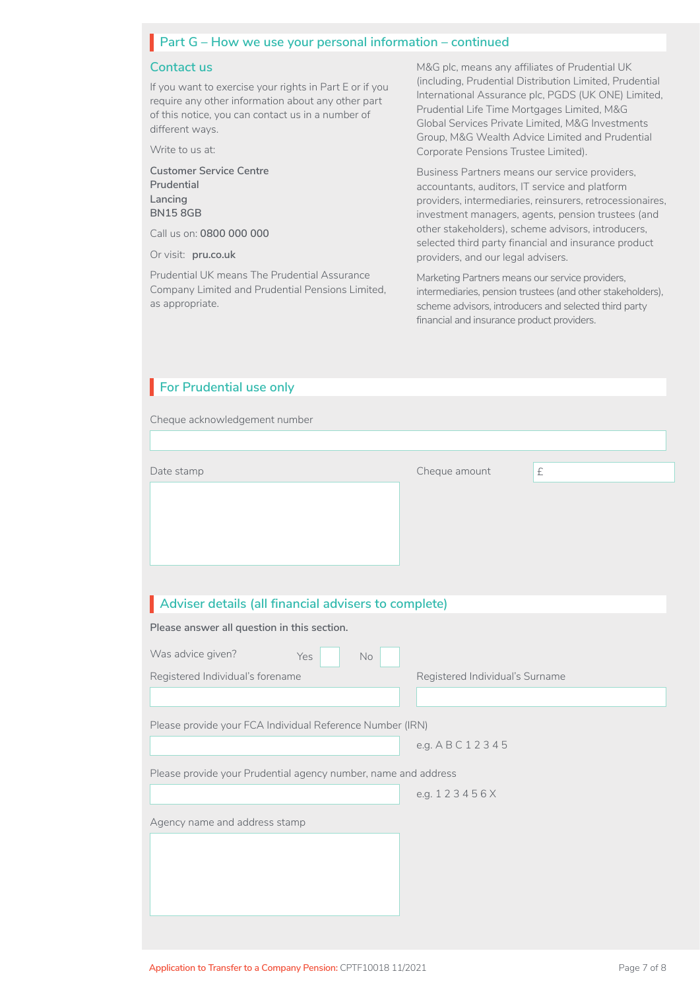# **Part G – How we use your personal information – continued**

#### **Contact us**

If you want to exercise your rights in Part E or if you require any other information about any other part of this notice, you can contact us in a number of different ways.

Write to us at:

**Customer Service Centre Prudential Lancing BN15 8GB** 

Call us on: **0800 000 000**

Or visit: **[pru.co.uk](http://www.pru.co.uk)**

Prudential UK means The Prudential Assurance Company Limited and Prudential Pensions Limited, as appropriate.

M&G plc, means any affiliates of Prudential UK (including, Prudential Distribution Limited, Prudential International Assurance plc, PGDS (UK ONE) Limited, Prudential Life Time Mortgages Limited, M&G Global Services Private Limited, M&G Investments Group, M&G Wealth Advice Limited and Prudential Corporate Pensions Trustee Limited).

Business Partners means our service providers, accountants, auditors, IT service and platform providers, intermediaries, reinsurers, retrocessionaires, investment managers, agents, pension trustees (and other stakeholders), scheme advisors, introducers, selected third party financial and insurance product providers, and our legal advisers.

Marketing Partners means our service providers, intermediaries, pension trustees (and other stakeholders), scheme advisors, introducers and selected third party financial and insurance product providers.

| For Prudential use only                                                                             |                                 |
|-----------------------------------------------------------------------------------------------------|---------------------------------|
| Cheque acknowledgement number                                                                       |                                 |
|                                                                                                     |                                 |
| Date stamp                                                                                          | Cheque amount<br>£              |
|                                                                                                     |                                 |
| Adviser details (all financial advisers to complete)<br>Please answer all question in this section. |                                 |
|                                                                                                     |                                 |
| Was advice given?<br>Yes<br>No<br>Registered Individual's forename                                  | Registered Individual's Surname |
|                                                                                                     |                                 |
| Please provide your FCA Individual Reference Number (IRN)                                           |                                 |
|                                                                                                     | e.g. A B C 1 2 3 4 5            |
| Please provide your Prudential agency number, name and address                                      |                                 |
|                                                                                                     | e.g. 123456X                    |
| Agency name and address stamp                                                                       |                                 |
|                                                                                                     |                                 |